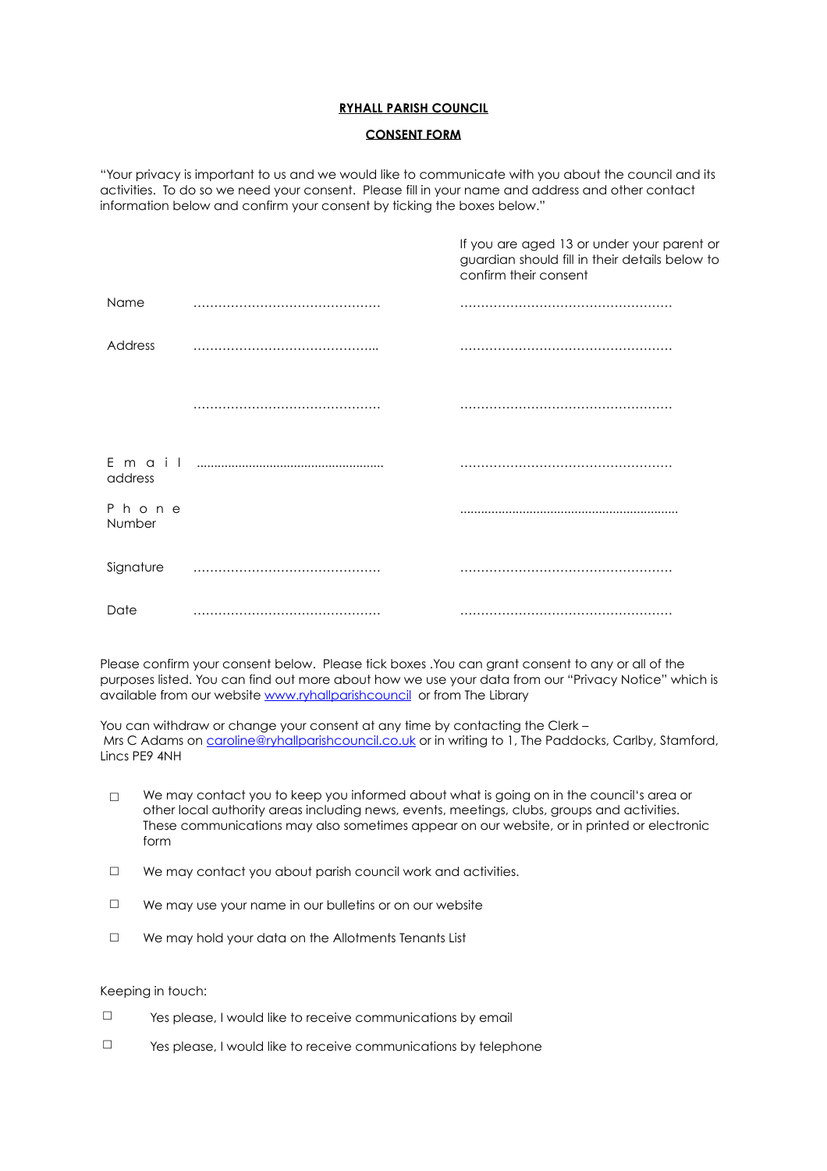## **RYHALL PARISH COUNCIL**

## **CONSENT FORM**

"Your privacy is important to us and we would like to communicate with you about the council and its activities. To do so we need your consent. Please fill in your name and address and other contact information below and confirm your consent by ticking the boxes below."

|                 | If you are aged 13 or under your parent or<br>guardian should fill in their details below to<br>confirm their consent |
|-----------------|-----------------------------------------------------------------------------------------------------------------------|
| Name            |                                                                                                                       |
| Address         |                                                                                                                       |
|                 |                                                                                                                       |
| address         |                                                                                                                       |
| Phone<br>Number |                                                                                                                       |
| Signature       |                                                                                                                       |
| Date            |                                                                                                                       |

Please confirm your consent below. Please tick boxes .You can grant consent to any or all of the purposes listed. You can find out more about how we use your data from our "Privacy Notice" which is available from our website [www.ryhallparishcouncil](http://www.ryhallparishcouncil) or from The Library

You can withdraw or change your consent at any time by contacting the Clerk – Mrs C Adams on [caroline@ryhallparishcouncil.co.uk](mailto:caroline@ryhallparishcouncil.co.uk) or in writing to 1, The Paddocks, Carlby, Stamford, Lincs PE9 4NH

- $\Box$  We may contact you to keep you informed about what is going on in the council's area or other local authority areas including news, events, meetings, clubs, groups and activities. These communications may also sometimes appear on our website, or in printed or electronic form
- $\Box$  We may contact you about parish council work and activities.
- $\Box$  We may use your name in our bulletins or on our website
- $\Box$  We may hold your data on the Allotments Tenants List

## Keeping in touch:

- $\square$  Yes please, I would like to receive communications by email
- $\square$  Yes please, I would like to receive communications by telephone